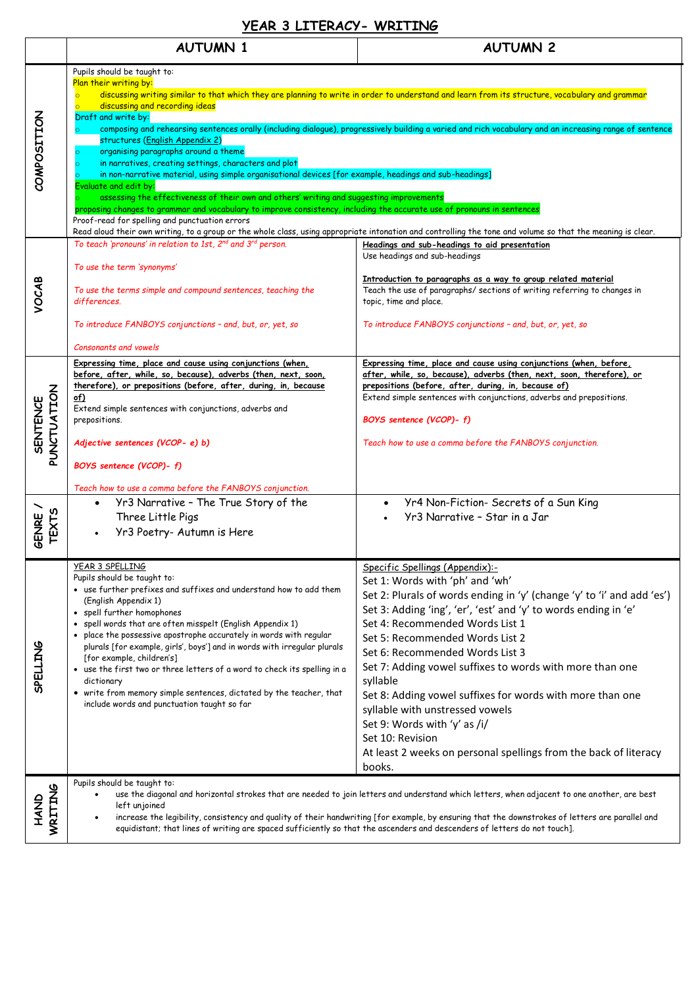## **YEAR 3 LITERACY- WRITING**

|                                | <b>AUTUMN 1</b>                                                                                                                                                                                                                                                                                                                                                                                                                                                                                                                                                                                                                                                                                                                                                                                                                                                                                                                                                                                                                                                                                                                                                                 | <b>AUTUMN 2</b>                                                                                                                                                                                                                                                                                                                                                                                                                                                                                                                                                                                                                    |  |
|--------------------------------|---------------------------------------------------------------------------------------------------------------------------------------------------------------------------------------------------------------------------------------------------------------------------------------------------------------------------------------------------------------------------------------------------------------------------------------------------------------------------------------------------------------------------------------------------------------------------------------------------------------------------------------------------------------------------------------------------------------------------------------------------------------------------------------------------------------------------------------------------------------------------------------------------------------------------------------------------------------------------------------------------------------------------------------------------------------------------------------------------------------------------------------------------------------------------------|------------------------------------------------------------------------------------------------------------------------------------------------------------------------------------------------------------------------------------------------------------------------------------------------------------------------------------------------------------------------------------------------------------------------------------------------------------------------------------------------------------------------------------------------------------------------------------------------------------------------------------|--|
| COMPOSITION                    | Pupils should be taught to:<br>Plan their writing by:<br>discussing writing similar to that which they are planning to write in order to understand and learn from its structure, vocabulary and grammar<br>discussing and recording ideas<br>$\overline{\bullet}$<br>Draft and write by:<br>composing and rehearsing sentences orally (including dialogue), progressively building a varied and rich vocabulary and an increasing range of sentence<br>structures (English Appendix 2)<br>organising paragraphs around a theme<br>$\circ$<br>in narratives, creating settings, characters and plot<br>in non-narrative material, using simple organisational devices [for example, headings and sub-headings]<br>Evaluate and edit by:<br>assessing the effectiveness of their own and others' writing and suggesting improvements<br>proposing changes to grammar and vocabulary to improve consistency, including the accurate use of pronouns in sentences<br>Proof-read for spelling and punctuation errors<br>Read aloud their own writing, to a group or the whole class, using appropriate intonation and controlling the tone and volume so that the meaning is clear. |                                                                                                                                                                                                                                                                                                                                                                                                                                                                                                                                                                                                                                    |  |
| VOCAB                          | To teach 'pronouns' in relation to 1st, $2^{nd}$ and $3^{rd}$ person.<br>To use the term 'synonyms'<br>To use the terms simple and compound sentences, teaching the<br>differences.<br>To introduce FANBOYS conjunctions - and, but, or, yet, so<br>Consonants and vowels                                                                                                                                                                                                                                                                                                                                                                                                                                                                                                                                                                                                                                                                                                                                                                                                                                                                                                       | Headings and sub-headings to aid presentation<br>Use headings and sub-headings<br>Introduction to paragraphs as a way to group related material<br>Teach the use of paragraphs/ sections of writing referring to changes in<br>topic, time and place.<br>To introduce FANBOYS conjunctions - and, but, or, yet, so                                                                                                                                                                                                                                                                                                                 |  |
| PUNCTUATION<br><b>SENTENCE</b> | Expressing time, place and cause using conjunctions (when,<br>before, after, while, so, because), adverbs (then, next, soon,<br>therefore), or prepositions (before, after, during, in, because<br>of)<br>Extend simple sentences with conjunctions, adverbs and<br>prepositions.<br>Adjective sentences (VCOP- e) b)<br>BOYS sentence (VCOP)- f)<br>Teach how to use a comma before the FANBOYS conjunction.<br>Yr3 Narrative - The True Story of the                                                                                                                                                                                                                                                                                                                                                                                                                                                                                                                                                                                                                                                                                                                          | Expressing time, place and cause using conjunctions (when, before,<br>after, while, so, because), adverbs (then, next, soon, therefore), or<br>prepositions (before, after, during, in, because of)<br>Extend simple sentences with conjunctions, adverbs and prepositions.<br>BOYS sentence (VCOP)-f)<br>Teach how to use a comma before the FANBOYS conjunction.<br>Yr4 Non-Fiction- Secrets of a Sun King<br>$\bullet$                                                                                                                                                                                                          |  |
| <b>TEXTS</b><br>GENRE          | Three Little Pigs<br>Yr3 Poetry- Autumn is Here                                                                                                                                                                                                                                                                                                                                                                                                                                                                                                                                                                                                                                                                                                                                                                                                                                                                                                                                                                                                                                                                                                                                 | Yr3 Narrative - Star in a Jar                                                                                                                                                                                                                                                                                                                                                                                                                                                                                                                                                                                                      |  |
| <b>SPELLING</b>                | YEAR 3 SPELLING<br>Pupils should be taught to:<br>• use further prefixes and suffixes and understand how to add them<br>(English Appendix 1)<br>• spell further homophones<br>• spell words that are often misspelt (English Appendix 1)<br>• place the possessive apostrophe accurately in words with regular<br>plurals [for example, girls', boys'] and in words with irregular plurals<br>[for example, children's]<br>• use the first two or three letters of a word to check its spelling in a<br>dictionary<br>• write from memory simple sentences, dictated by the teacher, that<br>include words and punctuation taught so far                                                                                                                                                                                                                                                                                                                                                                                                                                                                                                                                        | Specific Spellings (Appendix):-<br>Set 1: Words with 'ph' and 'wh'<br>Set 2: Plurals of words ending in 'y' (change 'y' to 'i' and add 'es')<br>Set 3: Adding 'ing', 'er', 'est' and 'y' to words ending in 'e'<br>Set 4: Recommended Words List 1<br>Set 5: Recommended Words List 2<br>Set 6: Recommended Words List 3<br>Set 7: Adding vowel suffixes to words with more than one<br>syllable<br>Set 8: Adding vowel suffixes for words with more than one<br>syllable with unstressed vowels<br>Set 9: Words with 'y' as /i/<br>Set 10: Revision<br>At least 2 weeks on personal spellings from the back of literacy<br>books. |  |
| WRITING<br><b>GNAH</b>         | Pupils should be taught to:<br>use the diagonal and horizontal strokes that are needed to join letters and understand which letters, when adjacent to one another, are best<br>left unjoined<br>increase the legibility, consistency and quality of their handwriting [for example, by ensuring that the downstrokes of letters are parallel and<br>equidistant; that lines of writing are spaced sufficiently so that the ascenders and descenders of letters do not touch].                                                                                                                                                                                                                                                                                                                                                                                                                                                                                                                                                                                                                                                                                                   |                                                                                                                                                                                                                                                                                                                                                                                                                                                                                                                                                                                                                                    |  |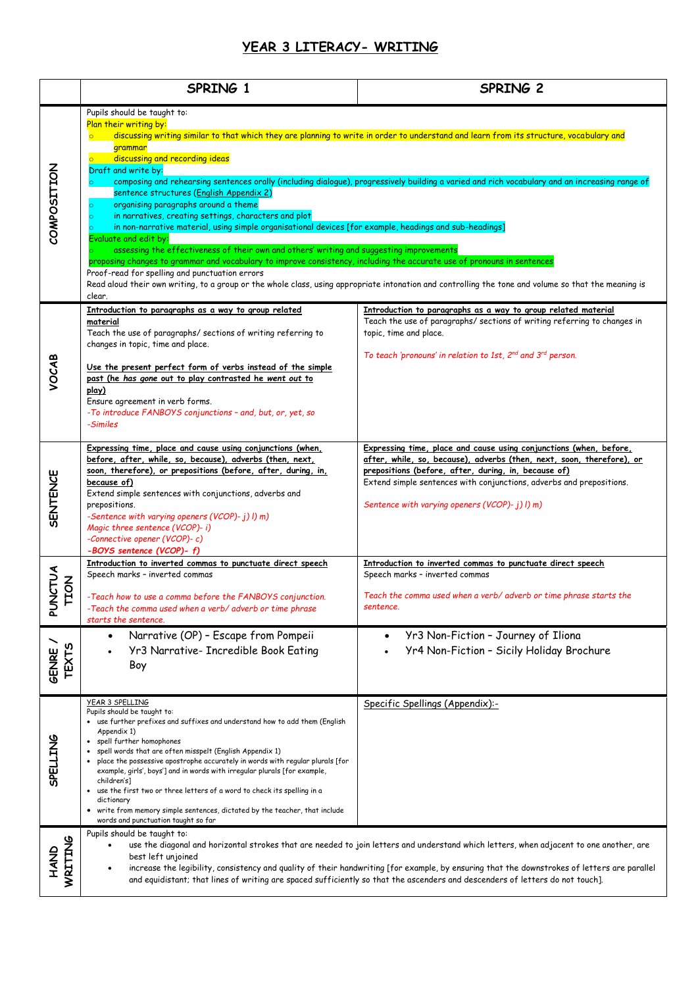## **YEAR 3 LITERACY- WRITING**

|                           | SPRING 1                                                                                                                                                                                                                                                                                                                                                                                                                                                                                                                                                                                                                                                                                                                                                                                                                                                                                                                                                                                                                                                                                                                                                                                       | SPRING 2                                                                                                                                                                                                                                                                                                                      |
|---------------------------|------------------------------------------------------------------------------------------------------------------------------------------------------------------------------------------------------------------------------------------------------------------------------------------------------------------------------------------------------------------------------------------------------------------------------------------------------------------------------------------------------------------------------------------------------------------------------------------------------------------------------------------------------------------------------------------------------------------------------------------------------------------------------------------------------------------------------------------------------------------------------------------------------------------------------------------------------------------------------------------------------------------------------------------------------------------------------------------------------------------------------------------------------------------------------------------------|-------------------------------------------------------------------------------------------------------------------------------------------------------------------------------------------------------------------------------------------------------------------------------------------------------------------------------|
| COMPOSITION               | Pupils should be taught to:<br>Plan their writing by:<br>discussing writing similar to that which they are planning to write in order to understand and learn from its structure, vocabulary and<br>grammar<br>discussing and recording ideas<br>$\overline{\circ}$<br>Draft and write by:<br>composing and rehearsing sentences orally (including dialogue), progressively building a varied and rich vocabulary and an increasing range of<br>$\circ$<br>sentence structures (English Appendix 2)<br>organising paragraphs around a theme<br>$\circ$<br>in narratives, creating settings, characters and plot<br>in non-narrative material, using simple organisational devices [for example, headings and sub-headings]<br>Evaluate and edit by:<br>assessing the effectiveness of their own and others' writing and suggesting improvements<br>proposing changes to grammar and vocabulary to improve consistency, including the accurate use of pronouns in sentences<br>Proof-read for spelling and punctuation errors<br>Read aloud their own writing, to a group or the whole class, using appropriate intonation and controlling the tone and volume so that the meaning is<br>clear. |                                                                                                                                                                                                                                                                                                                               |
| VOCAB                     | Introduction to paragraphs as a way to group related<br>material<br>Teach the use of paragraphs/ sections of writing referring to<br>changes in topic, time and place.<br>Use the present perfect form of verbs instead of the simple<br>past (he has gone out to play contrasted he went out to<br>play)<br>Ensure agreement in verb forms.<br>-To introduce FANBOYS conjunctions - and, but, or, yet, so<br>-Similes                                                                                                                                                                                                                                                                                                                                                                                                                                                                                                                                                                                                                                                                                                                                                                         | Introduction to paragraphs as a way to group related material<br>Teach the use of paragraphs/ sections of writing referring to changes in<br>topic, time and place.<br>To teach 'pronouns' in relation to 1st, $2^{nd}$ and $3^{rd}$ person.                                                                                  |
| <b>SENTENCE</b>           | Expressing time, place and cause using conjunctions (when,<br>before, after, while, so, because), adverbs (then, next,<br>soon, therefore), or prepositions (before, after, during, in,<br>because of)<br>Extend simple sentences with conjunctions, adverbs and<br>prepositions.<br>-Sentence with varying openers (VCOP)- j) l) m)<br>Magic three sentence (VCOP)- i)<br>-Connective opener (VCOP)-c)<br>-BOYS sentence (VCOP)- f)                                                                                                                                                                                                                                                                                                                                                                                                                                                                                                                                                                                                                                                                                                                                                           | Expressing time, place and cause using conjunctions (when, before,<br>after, while, so, because), adverbs (then, next, soon, therefore), or<br>prepositions (before, after, during, in, because of)<br>Extend simple sentences with conjunctions, adverbs and prepositions.<br>Sentence with varying openers (VCOP)- j) l) m) |
| <b>NCTUA</b><br>TION<br>₹ | Introduction to inverted commas to punctuate direct speech<br>Speech marks - inverted commas<br>-Teach how to use a comma before the FANBOYS conjunction.<br>-Teach the comma used when a verb/ adverb or time phrase<br>starts the sentence                                                                                                                                                                                                                                                                                                                                                                                                                                                                                                                                                                                                                                                                                                                                                                                                                                                                                                                                                   | Introduction to inverted commas to punctuate direct speech<br>Speech marks - inverted commas<br>Teach the comma used when a verb/ adverb or time phrase starts the<br>sentence.                                                                                                                                               |
| <b>TEXTS</b><br>GENRE     | Narrative (OP) - Escape from Pompeii<br>$\bullet$<br>Yr3 Narrative- Incredible Book Eating<br>Boy                                                                                                                                                                                                                                                                                                                                                                                                                                                                                                                                                                                                                                                                                                                                                                                                                                                                                                                                                                                                                                                                                              | Yr3 Non-Fiction - Journey of Iliona<br>Yr4 Non-Fiction - Sicily Holiday Brochure                                                                                                                                                                                                                                              |
| SPELLING                  | YEAR 3 SPELLING<br>Pupils should be taught to:<br>• use further prefixes and suffixes and understand how to add them (English<br>Appendix 1)<br>spell further homophones<br>spell words that are often misspelt (English Appendix 1)<br>place the possessive apostrophe accurately in words with regular plurals [for<br>example, girls', boys'] and in words with irregular plurals [for example,<br>children's]<br>use the first two or three letters of a word to check its spelling in a<br>dictionary<br>• write from memory simple sentences, dictated by the teacher, that include                                                                                                                                                                                                                                                                                                                                                                                                                                                                                                                                                                                                      | Specific Spellings (Appendix):-                                                                                                                                                                                                                                                                                               |
| HAND<br>WRITING           | words and punctuation taught so far<br>Pupils should be taught to:<br>use the diagonal and horizontal strokes that are needed to join letters and understand which letters, when adjacent to one another, are<br>best left unjoined<br>increase the legibility, consistency and quality of their handwriting [for example, by ensuring that the downstrokes of letters are parallel<br>and equidistant; that lines of writing are spaced sufficiently so that the ascenders and descenders of letters do not touch].                                                                                                                                                                                                                                                                                                                                                                                                                                                                                                                                                                                                                                                                           |                                                                                                                                                                                                                                                                                                                               |